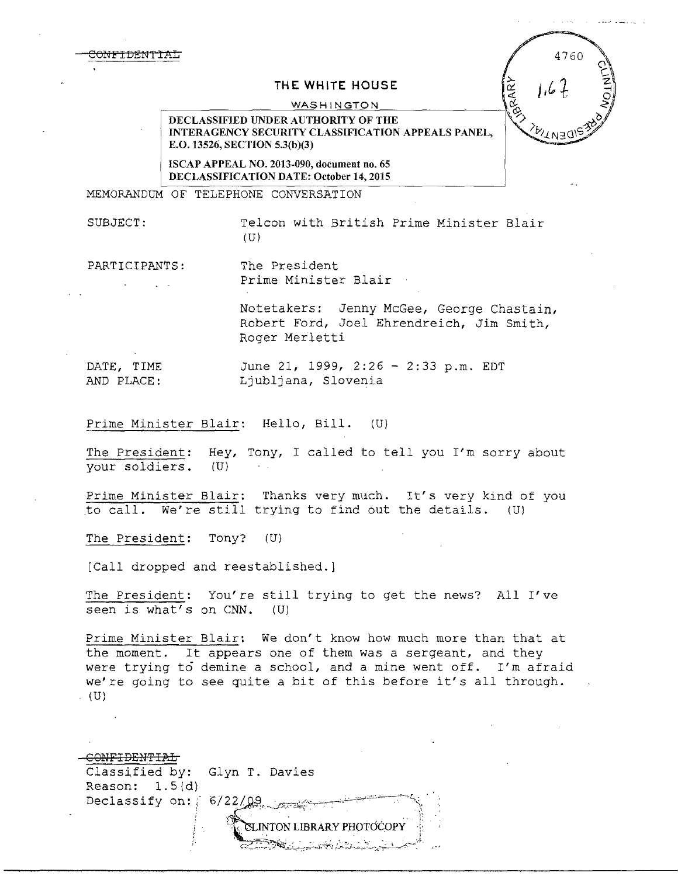## T HE WHITE HOUSE

WASHINGTON

DECLASSIFIED UNDER AUTHORITY OF THE INTERAGENCY SECURITY CLASSIFICATION APPEALS PANEL, E.O. 13526, SECTION 5.3(b)(3)

ISCAP APPEAL NO. 2013-090, document no. 65 DECLASSIFICATION DATE: October 14, 2015

MEMORANDUM OF TELEPHONE CONVERSATION

SUBJECT: Telcon with *British* Prime Minister Blair  $(U)$ 

4760

**FRARY** 

PARTICIPANTS: The President Prime Minister Blair

> Notetakers: Jenny McGee, George Chastain, Robert Ford, Joel Ehrendreich, Jim Smith, Roger Merletti

DATE, TIME June 21, 1999, 2:26 - 2:33 p.m. EDT AND PLACE: Ljubljana, Slovenia

Prime Minister Blair: Hello, Bill. (U)

The President: Hey, Tony, I called to tell you I'm sorry about your soldiers. (U)

Prime Minister Blair: Thanks very much. It's very kind of you to call. We're still trying to find out the details. (U)

The President: Tony? (U)

[Call dropped and reestablished.]

The President: You're still trying to get the news? All I've seen is what's on CNN. (U)

Prime Minister Blair: We don't know how much more than that at the moment. It appears one of them was a sergeant, and they were trying to demine a school, and a mine went off. I'm afraid we're going to see quite a bit of this before it's all through.  $(U)$ .

| Classified by: Glyn T. Davies |                           |
|-------------------------------|---------------------------|
| Reason: $1.5(d)$              |                           |
|                               | Declassify on: 6/22/09    |
|                               |                           |
|                               | CLINTON LIBRARY PHOTOCOPY |
|                               |                           |